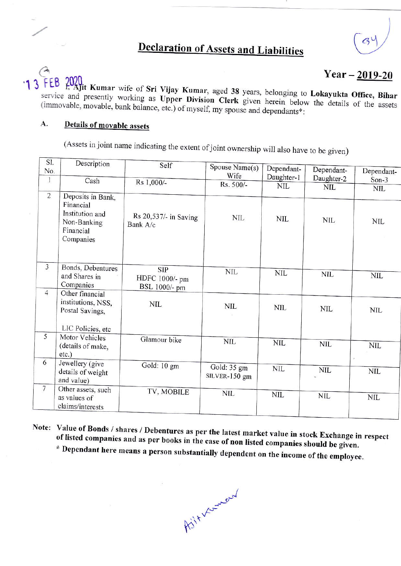## **Declaration of Assets and Liabilities**

## Year  $-2019-20$

2020<br>7. Ajit Kumar wife of Sri Vijay Kumar, aged 38 years, belonging to Lokayukta Office, Bihar  $13$ **LB** service and presently working as Upper Division Clerk given herein below the details of the assets (immovable, movable, bank balance, etc.) of myself, my spouse and dependants\*:

## A. Details of movable assets

(Assets in joint name indicating the extent of joint ownership will also have to be given)

| SI.<br>No.      | Description                                                                                | Self                                          | Spouse Name(s)               | Dependant-   | Dependant- | Dependant- |
|-----------------|--------------------------------------------------------------------------------------------|-----------------------------------------------|------------------------------|--------------|------------|------------|
| $\mathbf{1}$    | Cash                                                                                       |                                               | Wife                         | Daughter-1   | Daughter-2 | $Son-3$    |
|                 |                                                                                            | Rs 1,000/-                                    | Rs. 500/-                    | <b>NIL</b>   | <b>NIL</b> | <b>NIL</b> |
| $\overline{2}$  | Deposits in Bank,<br>Financial<br>Institution and<br>Non-Banking<br>Financial<br>Companies | Rs 20,537/- in Saving<br>Bank A/c             | NIL.                         | NIL.         | <b>NIL</b> | <b>NIL</b> |
| $\mathfrak{Z}$  | Bonds, Debentures<br>and Shares in<br>Companies                                            | <b>SIP</b><br>HDFC 1000/- pm<br>BSL 1000/- pm | <b>NIL</b>                   | <b>NIL</b>   | <b>NIL</b> | <b>NIL</b> |
| $\overline{4}$  | Other financial<br>institutions, NSS,<br>Postal Savings,                                   | <b>NIL</b>                                    | NIL                          | NIL          | <b>NIL</b> | <b>NIL</b> |
| 5               | LIC Policies, etc<br>Motor Vehicles<br>(details of make,<br>$etc.$ )                       | Glamour bike                                  | <b>NIL</b>                   | <b>NIL</b>   | <b>NIL</b> | <b>NIL</b> |
| 6               | Jewellery (give<br>details of weight<br>and value)                                         | Gold: 10 gm                                   | Gold: 35 gm<br>SILVER-150 gm | $\text{NIL}$ | <b>NIL</b> | <b>NIL</b> |
| $7\phantom{.0}$ | Other assets, such<br>as values of<br>claims/interests                                     | TV, MOBILE                                    | <b>NIL</b>                   | <b>NIL</b>   | <b>NIL</b> | NIL        |

Note: Value of Bonds / shares / Debentures as per the latest market value in stock Exchange in respect of listed companies and as per books in the case of non listed companies should be given. \* Dependant here means a person substantially dependent on the income of the employee.

Asit Verneud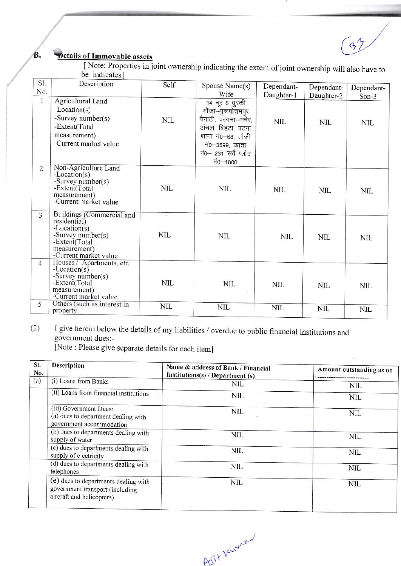**Petails of Immovable assets** 

[Note: Properties in joint ownership indicating the extent of joint ownership will also have to be indicates]

 $(39)$ 

| SI.<br>No.     | Description                                                                                                                                    | Self       | Spouse Name(s)<br>Wife                                                                                                                                    | Dependant-<br>Daughter-1 | Dependant-<br>Daughter-2 | Dependant-<br>Son- $3$ |
|----------------|------------------------------------------------------------------------------------------------------------------------------------------------|------------|-----------------------------------------------------------------------------------------------------------------------------------------------------------|--------------------------|--------------------------|------------------------|
| $\mathbf{1}$   | Agricultural Land<br>-Location(s)<br>-Survey number(s)<br>-Extent(Total<br>measurement)<br>-Current market value                               | <b>NIL</b> | 14 धूर 8 धुरकी<br>मौजा–पुरूषोत्तमपुर<br>पैनाठी, परगना–मनेर,<br>अंचल-बिहटा, पटना<br>थाना नं0-68, तौजी<br>नं0–3599, खाता<br>नं0- 231 सर्वे प्लौट<br>$-1800$ | <b>NIL</b>               | <b>NIL</b>               | <b>NIL</b>             |
| $\overline{2}$ | Non-Agriculture Land<br>$-Location(s)$<br>-Survey number( $s$ )<br>-Extent(Total<br>measurement)<br>-Current market value                      | NIL        | <b>NIL</b>                                                                                                                                                | NIL                      | <b>NIL</b>               | NΠ                     |
| $\overline{3}$ | Buildings (Commercial and<br>residential)<br>$-Location(s)$<br>-Survey number( $s$ )<br>-Extent(Total<br>measurement)<br>-Current market value | <b>NIL</b> | NIL                                                                                                                                                       | <b>NIL</b>               | <b>NIL</b>               | <b>NIL</b>             |
| $\overline{4}$ | Houses / Apartments, etc.<br>$-Location(s)$<br>-Survey number( $s$ )<br>-Extent(Total<br>measurement)<br>-Current market value                 | <b>NIL</b> | <b>NIL</b>                                                                                                                                                | NIL                      | NIL                      | NIL                    |
| 5              | Others (such as interest in<br>property                                                                                                        | <b>NIL</b> | <b>NIL</b>                                                                                                                                                | <b>NIL</b>               | $\text{NIL}$             | <b>NIL</b>             |

I give herein below the details of my liabilities / overdue to public financial institutions and  $(2)$ government dues:-

[Note : Please give separate details for each item]

| SI.<br>No. | Description                                                                                          | Name & address of Bank / Financial<br>Institutions(s) / Department (s) | Amount outstanding as on |
|------------|------------------------------------------------------------------------------------------------------|------------------------------------------------------------------------|--------------------------|
| (a)        | (i) Loans from Banks                                                                                 | <b>NIL</b>                                                             | <b>NIL</b>               |
|            | (ii) Loans from financial institutions                                                               | <b>NIL</b>                                                             | <b>NIL</b>               |
|            | (iii) Government Dues:<br>(a) dues to department dealing with<br>government accommodation            | <b>NIL</b>                                                             | <b>NIL</b>               |
|            | (b) dues to departments dealing with<br>supply of water                                              | <b>NIL</b>                                                             | <b>NIL</b>               |
|            | (c) dues to departments dealing with<br>supply of electricity                                        | NIL                                                                    | <b>NIL</b>               |
|            | (d) dues to departments dealing with<br>telephones                                                   | <b>NIL</b>                                                             | <b>NIL</b>               |
|            | (e) dues to departments dealing with<br>government transport (including<br>aircraft and helicopters) | <b>NIL</b>                                                             | <b>NIL</b>               |

Aiit Kunton

**B.**